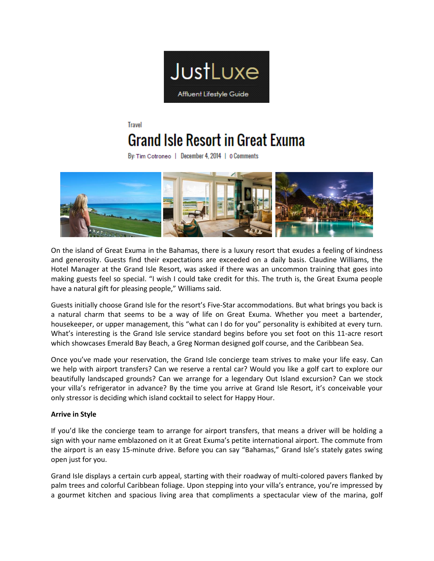

# **Travel Grand Isle Resort in Great Exuma**

By: Tim Cotroneo | December 4, 2014 | 0 Comments



On the island of Great Exuma in the Bahamas, there is a luxury resort that exudes a feeling of kindness and generosity. Guests find their expectations are exceeded on a daily basis. Claudine Williams, the Hotel Manager at the Grand Isle Resort, was asked if there was an uncommon training that goes into making guests feel so special. "I wish I could take credit for this. The truth is, the Great Exuma people have a natural gift for pleasing people," Williams said.

Guests initially choose Grand Isle for the resort's Five-Star accommodations. But what brings you back is a natural charm that seems to be a way of life on Great Exuma. Whether you meet a bartender, housekeeper, or upper management, this "what can I do for you" personality is exhibited at every turn. What's interesting is the Grand Isle service standard begins before you set foot on this 11-acre resort which showcases Emerald Bay Beach, a Greg Norman designed golf course, and the Caribbean Sea.

Once you've made your reservation, the Grand Isle concierge team strives to make your life easy. Can we help with airport transfers? Can we reserve a rental car? Would you like a golf cart to explore our beautifully landscaped grounds? Can we arrange for a legendary Out Island excursion? Can we stock your villa's refrigerator in advance? By the time you arrive at Grand Isle Resort, it's conceivable your only stressor is deciding which island cocktail to select for Happy Hour.

# **Arrive in Style**

If you'd like the concierge team to arrange for airport transfers, that means a driver will be holding a sign with your name emblazoned on it at Great Exuma's petite international airport. The commute from the airport is an easy 15-minute drive. Before you can say "Bahamas," Grand Isle's stately gates swing open just for you.

Grand Isle displays a certain curb appeal, starting with their roadway of multi-colored pavers flanked by palm trees and colorful Caribbean foliage. Upon stepping into your villa's entrance, you're impressed by a gourmet kitchen and spacious living area that compliments a spectacular view of the marina, golf